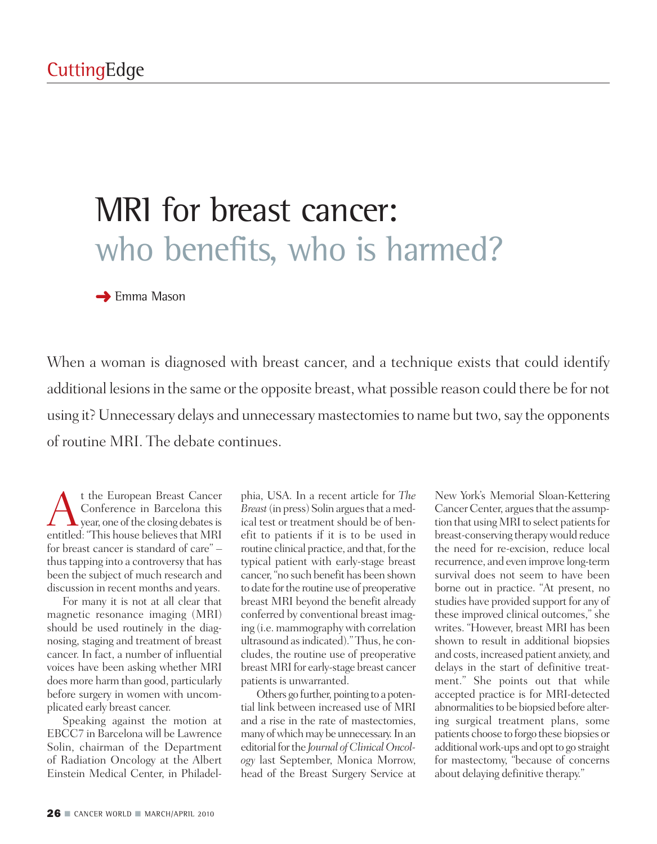# MRI for breast cancer: who benefits, who is harmed?

**➜** Emma Mason

When a woman is diagnosed with breast cancer, and a technique exists that could identify additional lesions in the same or the opposite breast, what possible reason could there be for not using it? Unnecessary delays and unnecessary mastectomies to name but two, say the opponents of routine MRI. The debate continues.

At the European Breast Cancer<br>Conference in Barcelona this<br>year, one of the closing debates is<br>entitled: "This house believes that MBI Conference in Barcelona this entitled: "This house believes that MRI for breast cancer is standard of care" – thustapping into a controversy that has been the subject of much research and discussion in recent months and years.

For many it is not at all clear that magnetic resonance imaging (MRI) should be used routinely in the diagnosing, staging and treatment of breast cancer. In fact, a number of influential voices have been asking whether MRI does more harm than good, particularly before surgery in women with uncomplicated early breast cancer.

Speaking against the motion at EBCC7 in Barcelona will be Lawrence Solin, chairman of the Department of Radiation Oncology at the Albert Einstein Medical Center, in Philadelphia, USA. In a recent article for *The Breast* (in press) Solin argues that a medical test or treatment should be of benefit to patients if it is to be used in routine clinical practice, and that, for the typical patient with early-stage breast cancer,"no such benefit has been shown to date for the routine use of preoperative breast MRI beyond the benefit already conferred by conventional breast imaging (i.e. mammographywith correlation ultrasound asindicated)."Thus, he concludes, the routine use of preoperative breast MRI for early-stage breast cancer patients is unwarranted.

Others go further, pointing to a potential link between increased use of MRI and a rise in the rate of mastectomies, many of which may be unnecessary. In an editorial for the *Journal of Clinical Oncology* last September, Monica Morrow, head of the Breast Surgery Service at

New York's Memorial Sloan-Kettering Cancer Center, argues that the assumption that using MRI to select patients for breast-conserving therapywould reduce the need for re-excision, reduce local recurrence, and even improve long-term survival does not seem to have been borne out in practice. "At present, no studies have provided support for any of these improved clinical outcomes," she writes. "However, breast MRI has been shown to result in additional biopsies and costs, increased patient anxiety, and delays in the start of definitive treatment." She points out that while accepted practice is for MRI-detected abnormalities to be biopsied before altering surgical treatment plans, some patients choose to forgo these biopsies or additional work-ups and opt to go straight for mastectomy, "because of concerns about delaying definitive therapy."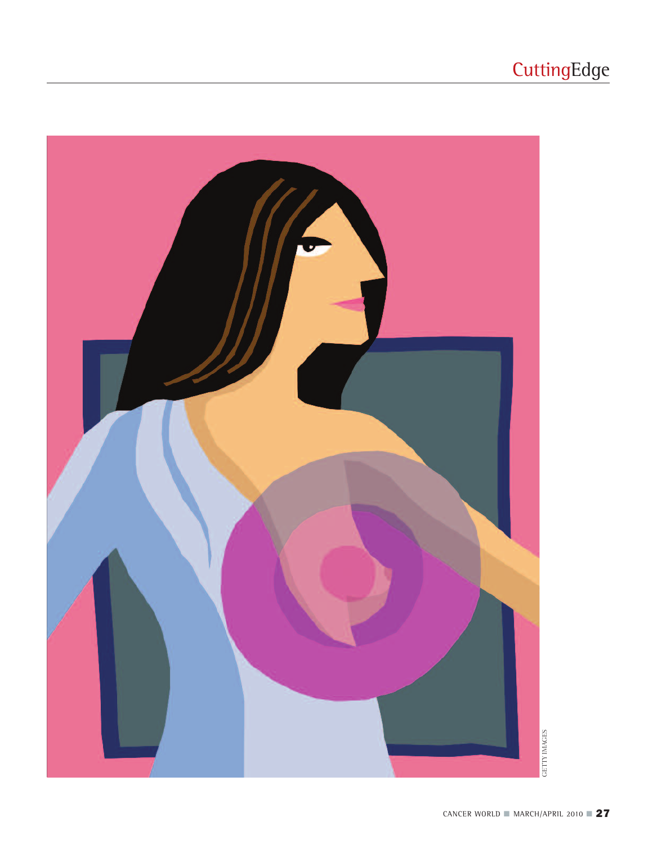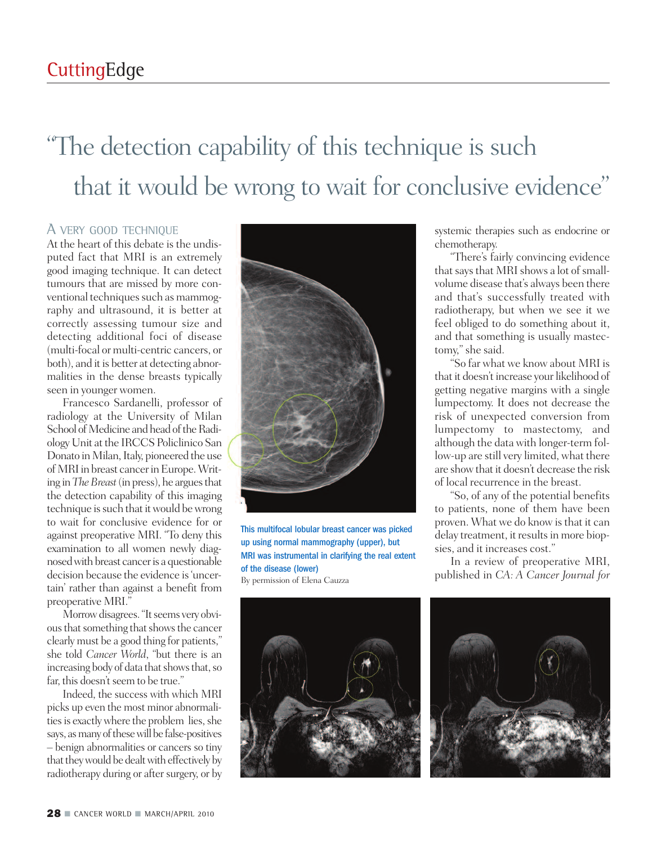# "The detection capability of this technique is such that it would be wrong to wait for conclusive evidence"

#### A VERY GOOD TECHNIQUE

At the heart of this debate is the undisputed fact that MRI is an extremely good imaging technique. It can detect tumours that are missed by more conventional techniques such as mammography and ultrasound, it is better at correctly assessing tumour size and detecting additional foci of disease (multi-focal or multi-centric cancers, or both), and it is better at detecting abnormalities in the dense breasts typically seen in younger women.

Francesco Sardanelli, professor of radiology at the University of Milan School of Medicine and head of the Radiology Unit at the IRCCS Policlinico San Donato in Milan, Italy, pioneered the use ofMRIin breast cancerinEurope.Writing in *The Breast* (in press), he argues that the detection capability of this imaging technique is such that it would be wrong to wait for conclusive evidence for or against preoperative MRI. "To deny this examination to all women newly diagnosed with breast cancer is a questionable decision because the evidence is'uncertain' rather than against a benefit from preoperative MRI."

Morrow disagrees. "It seems very obvious that something that shows the cancer clearly must be a good thing for patients," she told *Cancer World*, "but there is an increasing body of data that shows that, so far, this doesn't seem to be true."

Indeed, the success with which MRI picks up even the most minor abnormalities is exactly where the problem lies, she says, as many of these will be false-positives – benign abnormalities or cancers so tiny that they would be dealt with effectively by radiotherapy during or after surgery, or by



This multifocal lobular breast cancer was picked up using normal mammography (upper), but MRI was instrumental in clarifying the real extent of the disease (lower) By permission of Elena Cauzza

systemic therapies such as endocrine or chemotherapy.

"There's fairly convincing evidence that says that MRI shows a lot of smallvolume disease that's always been there and that's successfully treated with radiotherapy, but when we see it we feel obliged to do something about it, and that something is usually mastectomy," she said.

"So far what we know about MRI is that it doesn't increase your likelihood of getting negative margins with a single lumpectomy. It does not decrease the risk of unexpected conversion from lumpectomy to mastectomy, and although the data with longer-term follow-up are still very limited, what there are showthat it doesn't decrease the risk of local recurrence in the breast.

"So, of any of the potential benefits to patients, none of them have been proven. What we do know is that it can delay treatment, it results in more biopsies, and it increases cost."

In a review of preoperative MRI, published in *CA: A Cancer Journal for*



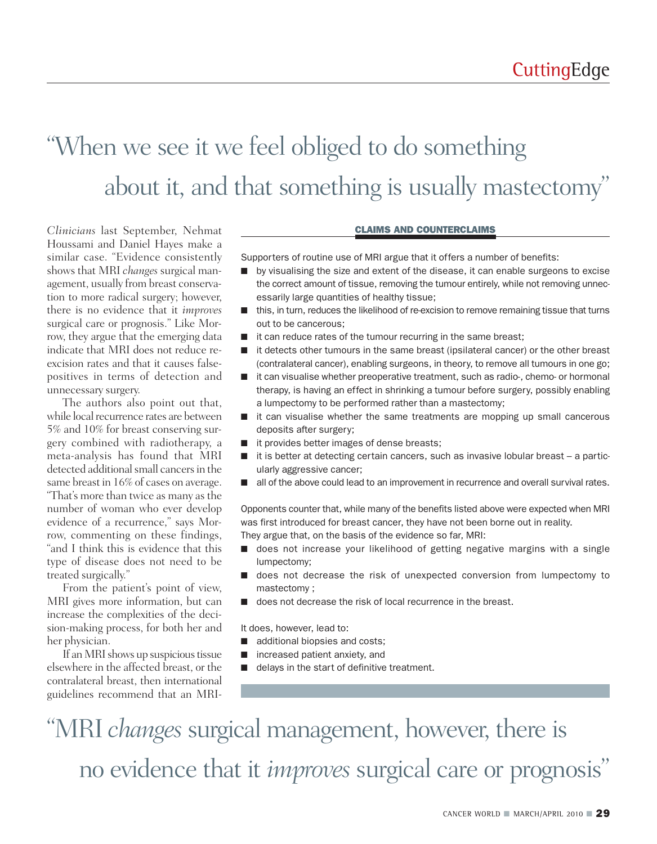## "When we see it we feel obliged to do something about it, and that something is usually mastectomy "

*Clinicians* last September, Nehmat Houssami and Daniel Hayes make a similar case. "Evidence consistently shows that MRI *changes* surgical management, usually from breast conservation to more radical surgery; however, there is no evidence that it *improves* surgical care or prognosis." Like Morrow, they argue that the emerging data indicate that MRI does not reduce reexcision rates and that it causes falsepositives in terms of detection and unnecessary surgery.

The authors also point out that, while local recurrence rates are between 5% and 10% for breast conserving surgery combined with radiotherapy, a meta-analysis has found that MRI detected additional small cancers in the same breast in 16% of cases on average. "That's more than twice as many as the number of woman who ever develop evidence of a recurrence," says Morrow, commenting on these findings, "and I think this is evidence that this type of disease does not need to be treated surgically."

From the patient's point of view, MRI gives more information, but can increase the complexities of the decision-making process, for both her and her physician.

If an MRI shows up suspicious tissue elsewhere in the affected breast, or the contralateral breast, then international guidelines recommend that an MRI-

#### **CLAIMS AND COUNTERCLAIMS**

Supporters of routine use of MRI argue that it offers a number of benefits:

- by visualising the size and extent of the disease, it can enable surgeons to excise the correct amount of tissue, removing the tumour entirely, while not removing unnecessarily large quantities of healthy tissue;
- this, in turn, reduces the likelihood of re-excision to remove remaining tissue that turns out to be cancerous;
- it can reduce rates of the tumour recurring in the same breast;
- it detects other tumours in the same breast (ipsilateral cancer) or the other breast (contralateral cancer), enabling surgeons, in theory, to remove all tumours in one go;
- it can visualise whether preoperative treatment, such as radio-, chemo- or hormonal therapy, is having an effect in shrinking a tumour before surgery, possibly enabling a lumpectomy to be performed rather than a mastectomy;
- it can visualise whether the same treatments are mopping up small cancerous deposits after surgery;
- it provides better images of dense breasts;
- it is better at detecting certain cancers, such as invasive lobular breast a particularly aggressive cancer;
- all of the above could lead to an improvement in recurrence and overall survival rates.

Opponents counter that, while many of the benefits listed above were expected when MRI was first introduced for breast cancer, they have not been borne out in reality. They argue that, on the basis of the evidence so far, MRI:

- does not increase your likelihood of getting negative margins with a single lumpectomy;
- does not decrease the risk of unexpected conversion from lumpectomy to mastectomy ;
- **■** does not decrease the risk of local recurrence in the breast.

It does, however, lead to:

- additional biopsies and costs;
- increased patient anxiety, and
- delays in the start of definitive treatment.

"MRI *changes*surgical management, however, there is no evidence that it *improves* surgical care or prognosis "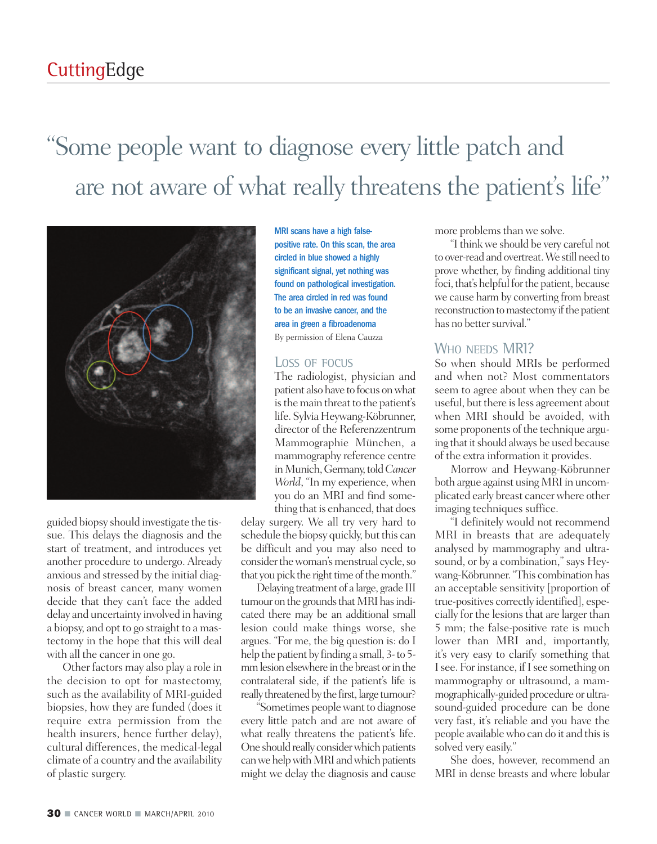### **CuttingEdge**

# "Some people want to diagnose every little patch and are not aware of what really threatens the patient's life"



guided biopsy should investigate the tissue. This delays the diagnosis and the start of treatment, and introduces yet another procedure to undergo. Already anxious and stressed by the initial diagnosis of breast cancer, many women decide that they can't face the added delay and uncertainty involved in having a biopsy, and opt to go straight to a mastectomy in the hope that this will deal with all the cancer in one go.

Other factors may also play a role in the decision to opt for mastectomy, such as the availability of MRI-guided biopsies, how they are funded (does it require extra permission from the health insurers, hence further delay), cultural differences, the medical-legal climate of a country and the availability of plastic surgery.

MRI scans have a high falsepositive rate. On this scan, the area circled in blue showed a highly significant signal, yet nothing was found on pathological investigation. The area circled in red was found to be an invasive cancer, and the area in green a fibroadenoma By permission of Elena Cauzza

#### LOSS OF FOCUS

The radiologist, physician and patient alsohave to focus onwhat is the main threat to the patient's life. Sylvia Heywang-Köbrunner, director of the Referenzzentrum Mammographie München, a mammography reference centre inMunich,Germany,told*Cancer World*, "In my experience, when you do an MRI and find something that is enhanced, that does

delay surgery. We all try very hard to schedule the biopsy quickly, but this can be difficult and you may also need to consider the woman's menstrual cycle, so that you pick the right time of the month."

Delaying treatment of a large, grade III tumour on the grounds that MRI has indicated there may be an additional small lesion could make things worse, she argues. "For me, the big question is: do I help the patient by finding a small, 3- to 5mm lesion elsewhere in the breast or in the contralateral side, if the patient's life is really threatened by the first, large tumour?

"Sometimes people want to diagnose" every little patch and are not aware of what really threatens the patient's life. One should really consider which patients can we help with MRI and which patients might we delay the diagnosis and cause

more problems than we solve.

"I think we should be very careful not to over-read and overtreat.We still need to prove whether, by finding additional tiny foci, that's helpful for the patient, because we cause harm by converting from breast reconstruction to mastectomy if the patient has no better survival."

#### WHO NEEDS MRI?

So when should MRIs be performed and when not? Most commentators seem to agree about when they can be useful, but there is less agreement about when MRI should be avoided, with some proponents of the technique arguing that it should always be used because of the extra information it provides.

Morrow and Heywang-Köbrunner both argue against using MRI in uncomplicated early breast cancerwhere other imaging techniques suffice.

"I definitely would not recommend MRI in breasts that are adequately analysed by mammography and ultrasound, or by a combination," says Heywang-Köbrunner."This combination has an acceptable sensitivity [proportion of true-positives correctly identified], especially for the lesions that are larger than 5 mm; the false-positive rate is much lower than MRI and, importantly, it's very easy to clarify something that I see. For instance, if I see something on mammography or ultrasound, a mammographically-guided procedure or ultrasound-guided procedure can be done very fast, it's reliable and you have the people available who can do it and this is solved very easily."

She does, however, recommend an MRI in dense breasts and where lobular